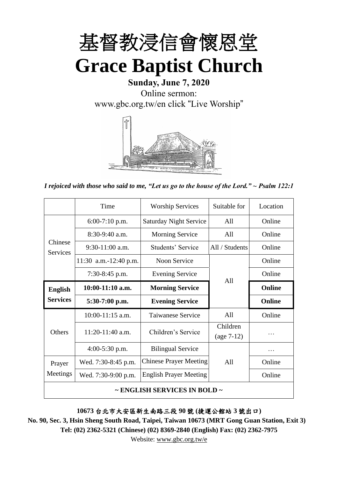

**Sunday, June 7, 2020** Online sermon: [www.gbc.org.tw/en](http://www.gbc.org.tw/en) click "Live Worship"



*I rejoiced with those who said to me, "Let us go to the house of the Lord." ~ Psalm 122:1*

|                                        | Time                  | <b>Worship Services</b>       | Suitable for   | Location      |
|----------------------------------------|-----------------------|-------------------------------|----------------|---------------|
|                                        | $6:00-7:10$ p.m.      | <b>Saturday Night Service</b> | All            | Online        |
|                                        | $8:30-9:40$ a.m.      | <b>Morning Service</b>        | All            |               |
| Chinese<br><b>Services</b>             | $9:30-11:00$ a.m.     | Students' Service             | All / Students | Online        |
|                                        | 11:30 a.m.-12:40 p.m. | Noon Service                  |                | Online        |
|                                        | 7:30-8:45 p.m.        | <b>Evening Service</b>        |                | Online        |
| <b>English</b><br><b>Services</b>      | $10:00-11:10$ a.m.    | A11<br><b>Morning Service</b> |                | <b>Online</b> |
|                                        | $5:30-7:00$ p.m.      | <b>Evening Service</b>        |                | <b>Online</b> |
|                                        | $10:00-11:15$ a.m.    | <b>Taiwanese Service</b>      | All            | Online        |
| Others                                 | 11:20-11:40 a.m.      | Children's Service            | Children       | .             |
|                                        |                       |                               | $(age 7-12)$   |               |
|                                        | $4:00-5:30$ p.m.      | <b>Bilingual Service</b>      |                | .             |
| Prayer                                 | Wed. 7:30-8:45 p.m.   | <b>Chinese Prayer Meeting</b> | A11            | Online        |
| Meetings                               | Wed. 7:30-9:00 p.m.   | <b>English Prayer Meeting</b> |                | Online        |
| $\sim$ ENGLISH SERVICES IN BOLD $\sim$ |                       |                               |                |               |

**10673** 台北市大安區新生南路三段 **90** 號 **(**捷運公館站 **3** 號出口**)**

**No. 90, Sec. 3, Hsin Sheng South Road, Taipei, Taiwan 10673 (MRT Gong Guan Station, Exit 3) Tel: (02) 2362-5321 (Chinese) (02) 8369-2840 (English) Fax: (02) 2362-7975**

Website: www.gbc.org.tw/e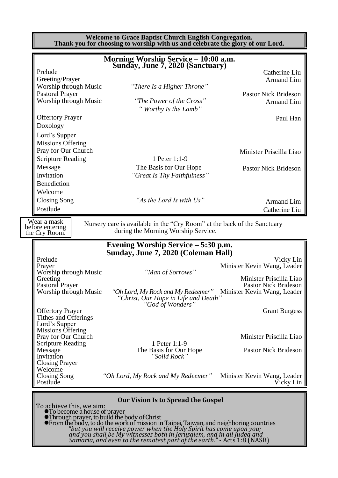**Welcome to Grace Baptist Church English Congregation. Thank you for choosing to worship with us and celebrate the glory of our Lord.**

|                                                                 | <b>Morning Worship Service - 10:00 a.m.</b><br>Sunday, June 7, 2020 (Sanctuary)                                                                                                                                 |                                                            |
|-----------------------------------------------------------------|-----------------------------------------------------------------------------------------------------------------------------------------------------------------------------------------------------------------|------------------------------------------------------------|
| Prelude<br>Greeting/Prayer                                      |                                                                                                                                                                                                                 | Catherine Liu<br><b>Armand Lim</b>                         |
| Worship through Music                                           | "There Is a Higher Throne"                                                                                                                                                                                      |                                                            |
| <b>Pastoral Prayer</b><br>Worship through Music                 | "The Power of the Cross"                                                                                                                                                                                        | <b>Pastor Nick Brideson</b><br>Armand Lim                  |
| <b>Offertory Prayer</b>                                         | "Worthy Is the Lamb"                                                                                                                                                                                            | Paul Han                                                   |
| Doxology                                                        |                                                                                                                                                                                                                 |                                                            |
| Lord's Supper                                                   |                                                                                                                                                                                                                 |                                                            |
| <b>Missions Offering</b><br>Pray for Our Church                 |                                                                                                                                                                                                                 | Minister Priscilla Liao                                    |
| <b>Scripture Reading</b>                                        | 1 Peter 1:1-9                                                                                                                                                                                                   |                                                            |
| Message                                                         | The Basis for Our Hope                                                                                                                                                                                          | <b>Pastor Nick Brideson</b>                                |
| Invitation                                                      | "Great Is Thy Faithfulness"                                                                                                                                                                                     |                                                            |
| Benediction                                                     |                                                                                                                                                                                                                 |                                                            |
| Welcome                                                         |                                                                                                                                                                                                                 |                                                            |
| Closing Song                                                    | "As the Lord Is with Us"                                                                                                                                                                                        | Armand Lim                                                 |
| Postlude                                                        |                                                                                                                                                                                                                 | Catherine Liu                                              |
| Wear a mask                                                     |                                                                                                                                                                                                                 |                                                            |
| before entering<br>the Cry Room.                                | Nursery care is available in the "Cry Room" at the back of the Sanctuary<br>during the Morning Worship Service.                                                                                                 |                                                            |
|                                                                 | Evening Worship Service - 5:30 p.m.                                                                                                                                                                             |                                                            |
|                                                                 | Sunday, June 7, 2020 (Coleman Hall)                                                                                                                                                                             |                                                            |
| Prelude<br>Prayer                                               |                                                                                                                                                                                                                 | Vicky Lin<br>Minister Kevin Wang, Leader                   |
| Worship through Music                                           | "Man of Sorrows"                                                                                                                                                                                                |                                                            |
| Greeting                                                        |                                                                                                                                                                                                                 | Minister Priscilla Liao                                    |
| Pastoral Prayer<br>Worship through Music                        | "Oh Lord, My Rock and My Redeemer"                                                                                                                                                                              | <b>Pastor Nick Brideson</b><br>Minister Kevin Wang, Leader |
|                                                                 | "Christ, Our Hope in Life and Death"                                                                                                                                                                            |                                                            |
| <b>Offertory Prayer</b>                                         | "God of Wonders"                                                                                                                                                                                                | <b>Grant Burgess</b>                                       |
| Tithes and Offerings                                            |                                                                                                                                                                                                                 |                                                            |
| Lord's Supper<br>Missions Offering                              |                                                                                                                                                                                                                 |                                                            |
| Pray for Our Church                                             |                                                                                                                                                                                                                 | Minister Priscilla Liao                                    |
| Scripture Reading                                               | 1 Peter 1:1-9                                                                                                                                                                                                   |                                                            |
| Message<br>Invitation                                           | The Basis for Our Hope<br>"Solid Rock"                                                                                                                                                                          | <b>Pastor Nick Brideson</b>                                |
| <b>Closing Prayer</b>                                           |                                                                                                                                                                                                                 |                                                            |
| Welcome                                                         |                                                                                                                                                                                                                 |                                                            |
| <b>Closing Song</b><br>Postlude                                 | "Oh Lord, My Rock and My Redeemer" Minister Kevin Wang, Leader                                                                                                                                                  | Vicky Lin                                                  |
|                                                                 |                                                                                                                                                                                                                 |                                                            |
|                                                                 | <b>Our Vision Is to Spread the Gospel</b>                                                                                                                                                                       |                                                            |
| To achieve this, we aim:<br><b>•To become a house of prayer</b> |                                                                                                                                                                                                                 |                                                            |
|                                                                 |                                                                                                                                                                                                                 |                                                            |
|                                                                 |                                                                                                                                                                                                                 |                                                            |
|                                                                 | • Through prayer, to build the body of Christ<br>• From the body, to do the work of mission in Taipei, Taiwan, and neighboring countries<br>"but you will receive power when the Holy Spirit has come upon you; |                                                            |

*Samaria, and even to the remotest part of the earth."* - Acts 1:8 (NASB)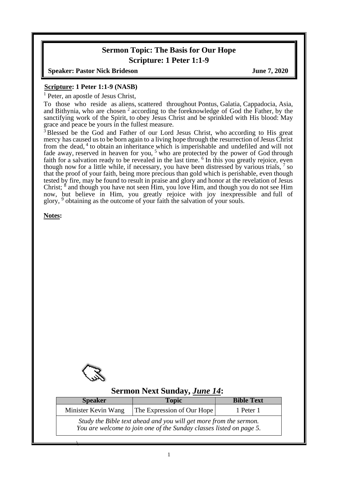## **Sermon Topic: The Basis for Our Hope Scripture: 1 Peter 1:1-9**

**Speaker: Pastor Nick Brideson June 7, 2020** 

#### **Scripture: 1 Peter 1:1-9 (NASB)**

<sup>1</sup> Peter, an apostle of Jesus Christ,

To those who reside as aliens, scattered throughout Pontus, Galatia, Cappadocia, Asia, and Bithynia, who are chosen<sup>2</sup> according to the foreknowledge of God the Father, by the sanctifying work of the Spirit, to obey Jesus Christ and be sprinkled with His blood: May grace and peace be yours in the fullest measure.

<sup>3</sup> Blessed be the God and Father of our Lord Jesus Christ, who according to His great mercy has caused us to be born again to a living hope through the resurrection of Jesus Christ from the dead, <sup>4</sup> to obtain an inheritance which is imperishable and undefiled and will not fade away, reserved in heaven for you,  $5$  who are protected by the power of God through faith for a salvation ready to be revealed in the last time. <sup>6</sup> In this you greatly rejoice, even though now for a little while, if necessary, you have been distressed by various trials,  $7$  so that the proof of your faith, being more precious than gold which is perishable, even though tested by fire, may be found to result in praise and glory and honor at the revelation of Jesus Christ;  $\frac{8}{3}$  and though you have not seen Him, you love Him, and though you do not see Him now, but believe in Him, you greatly rejoice with joy inexpressible and full of glory, <sup>9</sup> obtaining as the outcome of your faith the salvation of your souls.

**Notes:**



 $\overline{\phantom{a}}$ 

### **Sermon Next Sunday,** *June 14***:**

| <b>Speaker</b>                                                                                                                           | <b>Topic</b> | <b>Bible Text</b> |  |  |
|------------------------------------------------------------------------------------------------------------------------------------------|--------------|-------------------|--|--|
| The Expression of Our Hope<br>Minister Kevin Wang                                                                                        |              | 1 Peter 1         |  |  |
| Study the Bible text ahead and you will get more from the sermon.<br>You are welcome to join one of the Sunday classes listed on page 5. |              |                   |  |  |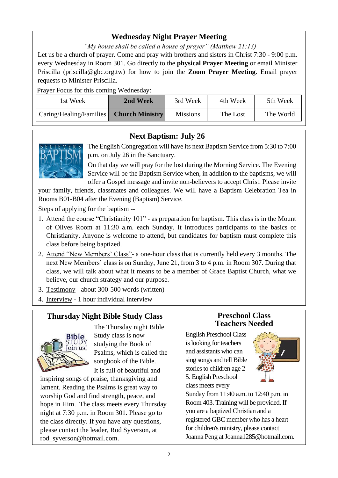# **Wednesday Night Prayer Meeting**

*"My house shall be called a house of prayer" (Matthew 21:13)*

Let us be a church of prayer. Come and pray with brothers and sisters in Christ 7:30 - 9:00 p.m. every Wednesday in Room 301. Go directly to the **physical Prayer Meeting** or email Minister Priscilla (priscilla@gbc.org.tw) for how to join the **Zoom Prayer Meeting**. Email prayer requests to Minister Priscilla.

Prayer Focus for this coming Wednesday:

| 1st Week                | 2nd Week               | 3rd Week        | 4th Week | 5th Week  |
|-------------------------|------------------------|-----------------|----------|-----------|
| Caring/Healing/Families | <b>Church Ministry</b> | <b>Missions</b> | The Lost | The World |

## **Next Baptism: July 26**



The English Congregation will have its next Baptism Service from 5:30 to 7:00 p.m. on July 26 in the Sanctuary.

On that day we will pray for the lost during the Morning Service. The Evening Service will be the Baptism Service when, in addition to the baptisms, we will offer a Gospel message and invite non-believers to accept Christ. Please invite

your family, friends, classmates and colleagues. We will have a Baptism Celebration Tea in Rooms B01-B04 after the Evening (Baptism) Service.

Steps of applying for the baptism --

- 1. Attend the course "Christianity 101" as preparation for baptism. This class is in the Mount of Olives Room at 11:30 a.m. each Sunday. It introduces participants to the basics of Christianity. Anyone is welcome to attend, but candidates for baptism must complete this class before being baptized.
- 2. Attend "New Members' Class"- a one-hour class that is currently held every 3 months. The next New Members' class is on Sunday, June 21, from 3 to 4 p.m. in Room 307. During that class, we will talk about what it means to be a member of Grace Baptist Church, what we believe, our church strategy and our purpose.

3. Testimony - about 300-500 words (written)

4. Interview - 1 hour individual interview

# **Thursday Night Bible Study Class**



The Thursday night Bible Study class is now studying the Book of Psalms, which is called the songbook of the Bible. It is full of beautiful and

inspiring songs of praise, thanksgiving and lament. Reading the Psalms is great way to worship God and find strength, peace, and hope in Him. The class meets every Thursday night at 7:30 p.m. in Room 301. Please go to the class directly. If you have any questions, please contact the leader, Rod Syverson, at rod\_syverson@hotmail.com.

### **Preschool Class Teachers Needed**

English Preschool Class is looking for teachers and assistants who can sing songs and tell Bible stories to children age 2- 5. English Preschool class meets every



Sunday from 11:40 a.m. to 12:40 p.m. in Room 403. Training will be provided. If you are a baptized Christian and a registered GBC member who has a heart for children's ministry, please contact Joanna Peng at Joanna1285@hotmail.com.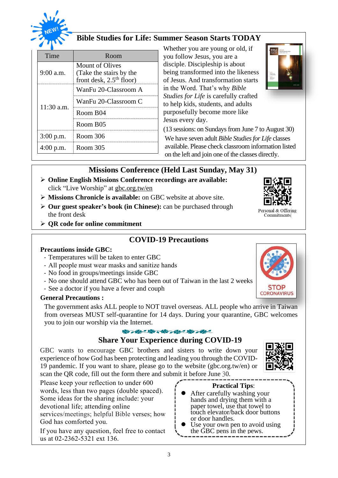

## **Bible Studies for Life: Summer Season Starts TODAY**

| Time         | Room                                                                     |  |
|--------------|--------------------------------------------------------------------------|--|
| $9:00$ a.m.  | Mount of Olives<br>(Take the stairs by the<br>front desk, $2.5th$ floor) |  |
|              | WanFu 20-Classroom A                                                     |  |
| $11:30$ a.m. | WanFu 20-Classroom C                                                     |  |
|              | Room B04                                                                 |  |
|              | Room B05                                                                 |  |
| $3:00$ p.m.  | Room 306                                                                 |  |
| $4:00$ p.m.  | Room 305                                                                 |  |

Whether you are young or old, if you follow Jesus, you are a disciple. Discipleship is about being transformed into the likeness of Jesus. And transformation starts in the Word. That's why *Bible Studies for Life* is carefully crafted to help kids, students, and adults purposefully become more like Jesus every day.



(13 sessions: on Sundays from June 7 to August 30) We have seven adult *Bible Studies for Life* classes available. Please check classroom information listed on the left and join one of the classes directly.

## **Missions Conference (Held Last Sunday, May 31)**

- ➢ **Online English Missions Conference recordings are available:**  click "Live Worship" at gbc.org.tw/en
- ➢ **Missions Chronicle is available:** on GBC website at above site.
- ➢ **Our guest speaker's book (in Chinese):** can be purchased through the front desk
- ➢ **QR code for online commitment**

### **COVID-19 Precautions**

#### **Precautions inside GBC:**

- Temperatures will be taken to enter GBC
- All people must wear masks and sanitize hands
- No food in groups/meetings inside GBC
- No one should attend GBC who has been out of Taiwan in the last 2 weeks
- See a doctor if you have a fever and couph

#### **General Precautions :**

The government asks ALL people to NOT travel overseas. ALL people who arrive in Taiwan from overseas MUST self-quarantine for 14 days. During your quarantine, GBC welcomes you to join our worship via the Internet.

#### 帝/永保八龄/永保市·永

### **Share Your Experience during COVID-19**

GBC wants to encourage GBC brothers and sisters to write down your experience of how God has been protecting and leading you through the COVID-19 pandemic. If you want to share, please go to the website (gbc.org.tw/en) or scan the QR code, fill out the form there and submit it before June 30.



Please keep your reflection to under 600 words, less than two pages (double spaced). Some ideas for the sharing include: your devotional life; attending online services/meetings; helpful Bible verses; how God has comforted you.

If you have any question, feel free to contact us at 02-2362-5321 ext 136.

#### **Practical Tips**:

- ⚫ After carefully washing your hands and drying them with a paper towel, use that towel to touch elevator/back door buttons or door handles.
- Use your own pen to avoid using the GBC pens in the pews.



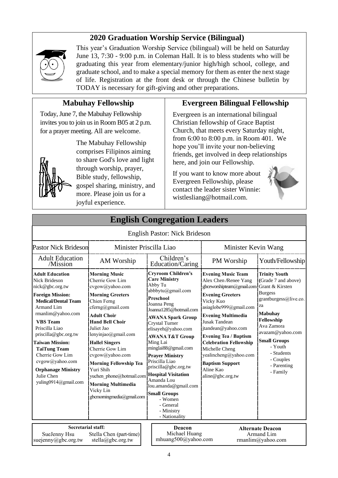## **2020 Graduation Worship Service (Bilingual)**



This year's Graduation Worship Service (bilingual) will be held on Saturday June 13, 7:30 - 9:00 p.m. in Coleman Hall. It is to bless students who will be graduating this year from elementary/junior high/high school, college, and graduate school, and to make a special memory for them as enter the next stage of life. Registration at the front desk or through the Chinese bulletin by TODAY is necessary for gift-giving and other preparations.

# **Mabuhay Fellowship**

Today, June 7, the Mabuhay Fellowship invites you to join us in Room B05 at 2 p.m. for a prayer meeting. All are welcome.



The Mabuhay Fellowship comprises Filipinos aiming to share God's love and light through worship, prayer, Bible study, fellowship, gospel sharing, ministry, and more. Please join us for a joyful experience.

## **Evergreen Bilingual Fellowship**

Evergreen is an international bilingual Christian fellowship of Grace Baptist Church, that meets every Saturday night, from 6:00 to 8:00 p.m. in Room 401. We hope you'll invite your non-believing friends, get involved in deep relationships here, and join our Fellowship.

If you want to know more about Evergreen Fellowship, please contact the leader sister Winnie: wistlesliang@hotmail.com.



| Ендиян Сондгеданон Есайсгэ                                                                                                                                                                                                                                                                                                                                                                  |                                                                                                                                                                                                                                                                                                                                                                                                                                                   |                                                                                                                                                                                                                                                                                                                                                                                                                                                                             |                                                                                                                                                                                                                                                                                                                                                                                                                     |                                                                                                                                                                                                                                                        |  |
|---------------------------------------------------------------------------------------------------------------------------------------------------------------------------------------------------------------------------------------------------------------------------------------------------------------------------------------------------------------------------------------------|---------------------------------------------------------------------------------------------------------------------------------------------------------------------------------------------------------------------------------------------------------------------------------------------------------------------------------------------------------------------------------------------------------------------------------------------------|-----------------------------------------------------------------------------------------------------------------------------------------------------------------------------------------------------------------------------------------------------------------------------------------------------------------------------------------------------------------------------------------------------------------------------------------------------------------------------|---------------------------------------------------------------------------------------------------------------------------------------------------------------------------------------------------------------------------------------------------------------------------------------------------------------------------------------------------------------------------------------------------------------------|--------------------------------------------------------------------------------------------------------------------------------------------------------------------------------------------------------------------------------------------------------|--|
|                                                                                                                                                                                                                                                                                                                                                                                             |                                                                                                                                                                                                                                                                                                                                                                                                                                                   | English Pastor: Nick Brideson                                                                                                                                                                                                                                                                                                                                                                                                                                               |                                                                                                                                                                                                                                                                                                                                                                                                                     |                                                                                                                                                                                                                                                        |  |
| <b>Pastor Nick Brideson</b>                                                                                                                                                                                                                                                                                                                                                                 | Minister Priscilla Liao                                                                                                                                                                                                                                                                                                                                                                                                                           |                                                                                                                                                                                                                                                                                                                                                                                                                                                                             | Minister Kevin Wang                                                                                                                                                                                                                                                                                                                                                                                                 |                                                                                                                                                                                                                                                        |  |
| <b>Adult Education</b><br>/Mission                                                                                                                                                                                                                                                                                                                                                          | AM Worship                                                                                                                                                                                                                                                                                                                                                                                                                                        | Children's<br>Education/Caring                                                                                                                                                                                                                                                                                                                                                                                                                                              | PM Worship                                                                                                                                                                                                                                                                                                                                                                                                          | Youth/Fellowship                                                                                                                                                                                                                                       |  |
| <b>Adult Education</b><br><b>Nick Brideson</b><br>nick@gbc.org.tw<br><b>Foreign Mission:</b><br><b>Medical/Dental Team</b><br><b>Armand Lim</b><br>rmanlim@yahoo.com<br><b>VBS</b> Team<br>Priscilla Liao<br>priscilla@gbc.org.tw<br><b>Taiwan Mission:</b><br><b>TaiTung Team</b><br>Cherrie Gow Lim<br>cvgow@yahoo.com<br><b>Orphanage Ministry</b><br>Julie Chen<br>yuling0914@gmail.com | <b>Morning Music</b><br>Cherrie Gow Lim<br>cvgow@yahoo.com<br><b>Morning Greeters</b><br>Chien Ferng<br>cferng@gmail.com<br><b>Adult Choir</b><br><b>Hand Bell Choir</b><br>Juliet Jao<br>lenyinjao@gmail.com<br><b>Hallel Singers</b><br>Cherrie Gow Lim<br>cvgow@yahoo.com<br><b>Morning Fellowship Tea</b><br>Yuri Shih<br>yuchen_phone@hotmail.com Hospital Visitation<br><b>Morning Multimedia</b><br>Vicky Lin<br>gbcmorningmedia@gmail.com | <b>Cryroom Children's</b><br><b>Care Ministry</b><br>Abby Tu<br>abbbytu@gmail.com<br>Preschool<br>Joanna Peng<br>Joanna1285@hotmail.com<br><b>AWANA Spark Group</b><br><b>Crystal Turner</b><br>elisayeh@yahoo.com<br><b>AWANA T&amp;T Group</b><br>Ming Lai<br>minglai88@gmail.com<br><b>Prayer Ministry</b><br>Priscilla Liao<br>priscilla@gbc.org.tw<br>Amanda Lou<br>lou.amanda@gmail.com<br><b>Small Groups</b><br>- Women<br>- General<br>- Ministry<br>- Nationality | <b>Evening Music Team</b><br>Alex Chen /Renee Yang<br>gbceworshipteam@gmail.com Grant & Kirsten<br><b>Evening Greeters</b><br>Vicky Kuo<br>asiaglobe999@gmail.com<br><b>Evening Multimedia</b><br><b>Jusak Tandean</b><br>jtandean@yahoo.com<br><b>Evening Tea / Baptism</b><br><b>Celebration Fellowship</b><br>Michelle Cheng<br>yealincheng@yahoo.com<br><b>Baptism Support</b><br>Aline Kao<br>aline@gbc.org.tw | <b>Trinity Youth</b><br>(Grade 7 and above)<br><b>Burgess</b><br>grantburgess@live.co.<br>za<br><b>Mabuhay</b><br>Fellowship<br>Ava Zamora<br>avazam@yahoo.com<br><b>Small Groups</b><br>- Youth<br>- Students<br>- Couples<br>- Parenting<br>- Family |  |
| <b>Secretarial staff:</b><br>SueJenny Hsu<br>suejenny@gbc.org.tw                                                                                                                                                                                                                                                                                                                            | Stella Chen (part-time)<br>stella@gbc.org.tw                                                                                                                                                                                                                                                                                                                                                                                                      | Deacon<br>Michael Huang<br>mhuang500@yahoo.com                                                                                                                                                                                                                                                                                                                                                                                                                              |                                                                                                                                                                                                                                                                                                                                                                                                                     | <b>Alternate Deacon</b><br>Armand Lim<br>rmanlim@yahoo.com                                                                                                                                                                                             |  |

**English Congregation Leaders**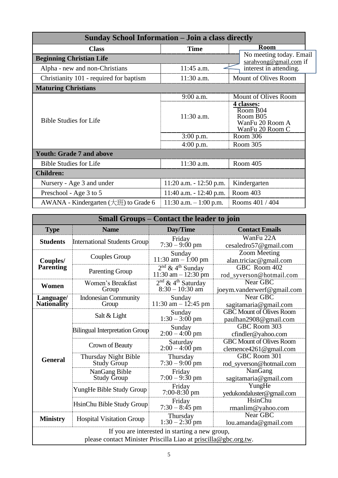| <b>Sunday School Information - Join a class directly</b> |                            |                                                                          |  |  |  |
|----------------------------------------------------------|----------------------------|--------------------------------------------------------------------------|--|--|--|
| <b>Class</b>                                             | <b>Time</b>                | <b>Room</b>                                                              |  |  |  |
| <b>Beginning Christian Life</b>                          |                            | No meeting today. Email<br>sarahvong@gmail.com if                        |  |  |  |
| Alpha - new and non-Christians                           | 11:45 a.m.                 | interest in attending.                                                   |  |  |  |
| Christianity 101 - required for baptism                  | 11:30 a.m.                 | Mount of Olives Room                                                     |  |  |  |
| <b>Maturing Christians</b>                               |                            |                                                                          |  |  |  |
|                                                          | 9:00 a.m.                  | Mount of Olives Room                                                     |  |  |  |
| <b>Bible Studies for Life</b>                            | 11:30 a.m.                 | 4 classes:<br>Room B04<br>Room B05<br>WanFu 20 Room A<br>WanFu 20 Room C |  |  |  |
|                                                          | $3:00$ p.m.                | Room 306                                                                 |  |  |  |
|                                                          | $4:00$ p.m.                | Room 305                                                                 |  |  |  |
| <b>Youth: Grade 7 and above</b>                          |                            |                                                                          |  |  |  |
| <b>Bible Studies for Life</b>                            | 11:30 a.m.                 | Room 405                                                                 |  |  |  |
| <b>Children:</b>                                         |                            |                                                                          |  |  |  |
| Nursery - Age 3 and under                                | $11:20$ a.m. $-12:50$ p.m. | Kindergarten                                                             |  |  |  |
| Preschool - Age 3 to 5                                   | 11:40 a.m. $- 12:40$ p.m.  | Room 403                                                                 |  |  |  |
| AWANA - Kindergarten $(\pm \mathcal{H})$ to Grade 6      | 11:30 a.m. $-1:00$ p.m.    | Rooms 401 / 404                                                          |  |  |  |

| <b>Small Groups – Contact the leader to join</b>                                                                  |                                            |                                                          |                                                           |  |  |
|-------------------------------------------------------------------------------------------------------------------|--------------------------------------------|----------------------------------------------------------|-----------------------------------------------------------|--|--|
| <b>Type</b>                                                                                                       | <b>Name</b>                                | Day/Time                                                 | <b>Contact Emails</b>                                     |  |  |
| <b>Students</b>                                                                                                   | <b>International Students Group</b>        | Friday<br>$7:30 - 9:00 \text{ pm}$                       | WanFu 22A<br>cesaledro57@gmail.com                        |  |  |
| Couples/                                                                                                          | Couples Group                              | Sunday<br>$11:30$ am $- 1:00$ pm                         | <b>Zoom Meeting</b><br>alan.triciac@gmail.com             |  |  |
| Parenting                                                                                                         | <b>Parenting Group</b>                     | $2nd$ & 4 <sup>th</sup> Sunday<br>$11:30$ am $-12:30$ pm | GBC Room 402<br>rod_syverson@hotmail.com                  |  |  |
| Women                                                                                                             | Women's Breakfast<br>Group                 | $2nd$ & 4 <sup>th</sup> Saturday<br>$8:30 - 10:30$ am    | Near GBC<br>joeym.vanderwerf@gmail.com                    |  |  |
| Language/<br><b>Nationality</b>                                                                                   | <b>Indonesian Community</b><br>Group       | Sunday<br>$11:30$ am $- 12:45$ pm                        | Near GBC<br>sagitamaria@gmail.com                         |  |  |
|                                                                                                                   | Salt & Light                               | Sunday<br>$1:30 - 3:00$ pm                               | <b>GBC Mount of Olives Room</b><br>paulhan2908@gmail.com  |  |  |
|                                                                                                                   | <b>Bilingual Interpretation Group</b>      | Sunday<br>$2:00 - 4:00$ pm                               | <b>GBC Room 303</b><br>cfindler@yahoo.com                 |  |  |
|                                                                                                                   | Crown of Beauty                            | Saturday<br>$2:00 - 4:00$ pm                             | <b>GBC Mount of Olives Room</b><br>clemence4261@gmail.com |  |  |
| <b>General</b>                                                                                                    | Thursday Night Bible<br><b>Study Group</b> | Thursday<br>$7:30 - 9:00$ pm                             | GBC Room 301<br>rod_syverson@hotmail.com                  |  |  |
|                                                                                                                   | NanGang Bible<br>Study Group               | Friday<br>$7:00 - 9:30$ pm                               | NanGang<br>sagitamaria@gmail.com                          |  |  |
|                                                                                                                   | YungHe Bible Study Group                   | Friday<br>$7:00-8:30$ pm                                 | YungHe<br>yedukondaluster@gmail.com                       |  |  |
|                                                                                                                   | HsinChu Bible Study Group                  | Friday<br>$7:30 - 8:45$ pm                               | <b>HsinChu</b><br>rmanlim@yahoo.com                       |  |  |
| <b>Ministry</b>                                                                                                   | <b>Hospital Visitation Group</b>           | Thursday<br>$1:30 - 2:30$ pm                             | Near GBC<br>lou.amanda@gmail.com                          |  |  |
| If you are interested in starting a new group,<br>please contact Minister Priscilla Liao at priscilla@gbc.org.tw. |                                            |                                                          |                                                           |  |  |